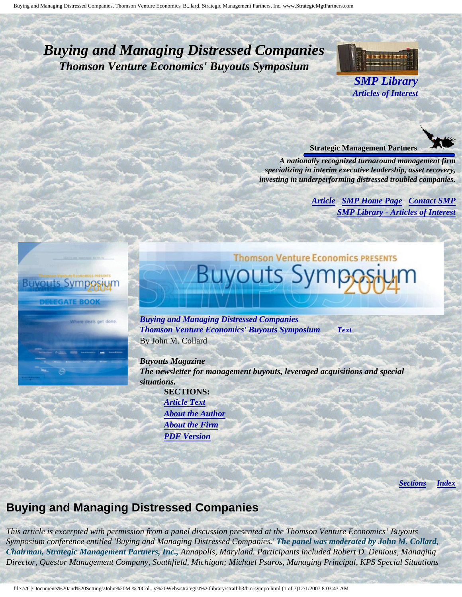## <span id="page-0-4"></span><span id="page-0-3"></span>*Buying and Managing Distressed Companies Thomson Venture Economics' Buyouts Symposium*



*SMP Library Articles of Interest*



*A nationally recognized turnaround management firm specializing in interim executive leadership, asset recovery, investing in underperforming distressed troubled companies.*

**Thomson Venture Economics PRESENTS** 

*[Article](#page-0-0) [SMP Home Page](http://members.aol.com/strategist/home.html#TOP) [Contact SMP](#page-6-0) [SMP Library - Articles of Interest](http://members.aol.com/stratlib3/libindx.html#TOP)*

# <span id="page-0-0"></span>**Buyouts Symposiun**

**NTE BOO** 

<span id="page-0-2"></span>e deals get done

*Buying and Managing Distressed Companies Thomson Venture Economics' Buyouts Symposium [Text](#page-0-1)* By John M. Collard

Buyouts S

*Buyouts Magazine The newsletter for management buyouts, leveraged acquisitions and special situations.* 

**SECTIONS:** *[Article Text](#page-0-1) [About the Author](#page-5-0) [About the Firm](#page-5-1) [PDF Version](http://members.aol.com/lmcollard/bm-bmdc.pdf)*

*[Sections](#page-0-2) [Index](#page-0-3)*

## <span id="page-0-1"></span>**Buying and Managing Distressed Companies**

*This article is excerpted with permission from a panel discussion presented at the Thomson Venture Economics' Buyouts Symposium conference entitled 'Buying and Managing Distressed Companies.' The panel was moderated by John M. Collard, Chairman, Strategic Management Partners, Inc., Annapolis, Maryland. Participants included Robert D. Denious, Managing Director, Questor Management Company, Southfield, Michigan; Michael Psaros, Managing Principal, KPS Special Situations*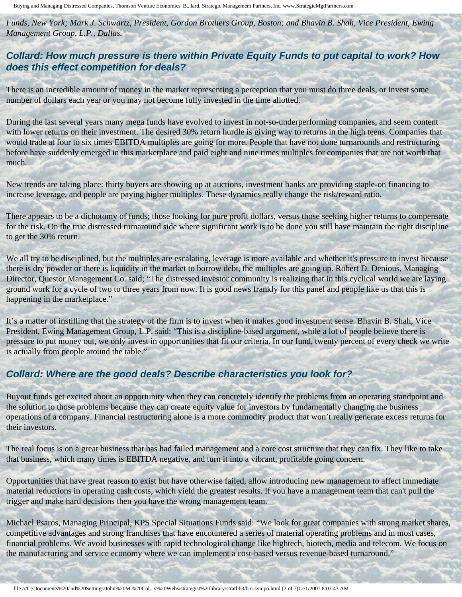Buying and Managing Distressed Companies, Thomson Venture Economics' B...lard, Strategic Management Partners, Inc. www.StrategicMgtPartners.com

*Funds, New York; Mark J. Schwartz, President, Gordon Brothers Group, Boston; and Bhavin B. Shah, Vice President, Ewing Management Group, L.P., Dallas.*

#### **Collard: How much pressure is there within Private Equity Funds to put capital to work? How does this effect competition for deals?**

There is an incredible amount of money in the market representing a perception that you must do three deals, or invest some number of dollars each year or you may not become fully invested in the time allotted.

During the last several years many mega funds have evolved to invest in not-so-underperforming companies, and seem content with lower returns on their investment. The desired 30% return hurdle is giving way to returns in the high teens. Companies that would trade at four to six times EBITDA multiples are going for more. People that have not done turnarounds and restructuring before have suddenly emerged in this marketplace and paid eight and nine times multiples for companies that are not worth that much.

New trends are taking place: thirty buyers are showing up at auctions, investment banks are providing staple-on financing to increase leverage, and people are paying higher multiples. These dynamics really change the risk/reward ratio.

There appears to be a dichotomy of funds; those looking for pure profit dollars, versus those seeking higher returns to compensate for the risk. On the true distressed turnaround side where significant work is to be done you still have maintain the right discipline to get the 30% return.

We all try to be disciplined, but the multiples are escalating, leverage is more available and whether it's pressure to invest because there is dry powder or there is liquidity in the market to borrow debt, the multiples are going up. Robert D. Denious, Managing Director, Questor Management Co. said; "The distressed investor community is realizing that in this cyclical world we are laying ground work for a cycle of two to three years from now. It is good news frankly for this panel and people like us that this is happening in the marketplace."

It's a matter of instilling that the strategy of the firm is to invest when it makes good investment sense. Bhavin B. Shah, Vice President, Ewing Management Group, L.P. said: "This is a discipline-based argument, while a lot of people believe there is pressure to put money out, we only invest in opportunities that fit our criteria. In our fund, twenty percent of every check we write is actually from people around the table."

#### **Collard: Where are the good deals? Describe characteristics you look for?**

Buyout funds get excited about an opportunity when they can concretely identify the problems from an operating standpoint and the solution to those problems because they can create equity value for investors by fundamentally changing the business operations of a company. Financial restructuring alone is a more commodity product that won't really generate excess returns for their investors.

The real focus is on a great business that has had failed management and a core cost structure that they can fix. They like to take that business, which many times is EBITDA negative, and turn it into a vibrant, profitable going concern.

Opportunities that have great reason to exist but have otherwise failed, allow introducing new management to affect immediate material reductions in operating cash costs, which yield the greatest results. If you have a management team that can't pull the trigger and make hard decisions then you have the wrong management team.

Michael Psaros, Managing Principal, KPS Special Situations Funds said: "We look for great companies with strong market shares, competitive advantages and strong franchises that have encountered a series of material operating problems and in most cases, financial problems. We avoid businesses with rapid technological change like hightech, biotech, media and telecom. We focus on the manufacturing and service economy where we can implement a cost-based versus revenue-based turnaround."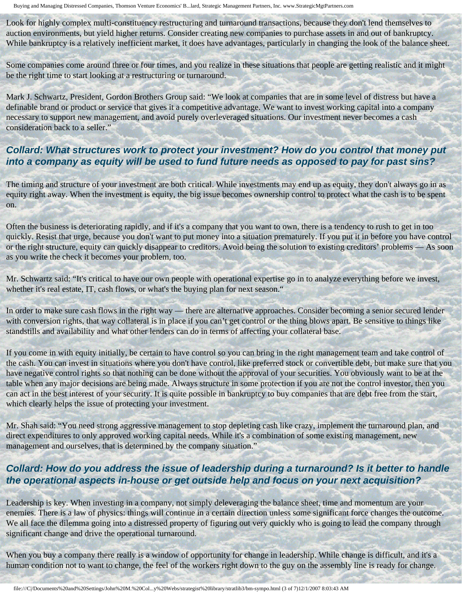Look for highly complex multi-constituency restructuring and turnaround transactions, because they don't lend themselves to auction environments, but yield higher returns. Consider creating new companies to purchase assets in and out of bankruptcy. While bankruptcy is a relatively inefficient market, it does have advantages, particularly in changing the look of the balance sheet.

Some companies come around three or four times, and you realize in these situations that people are getting realistic and it might be the right time to start looking at a restructuring or turnaround.

Mark J. Schwartz, President, Gordon Brothers Group said: "We look at companies that are in some level of distress but have a definable brand or product or service that gives it a competitive advantage. We want to invest working capital into a company necessary to support new management, and avoid purely overleveraged situations. Our investment never becomes a cash consideration back to a seller."

#### **Collard: What structures work to protect your investment? How do you control that money put into a company as equity will be used to fund future needs as opposed to pay for past sins?**

The timing and structure of your investment are both critical. While investments may end up as equity, they don't always go in as equity right away. When the investment is equity, the big issue becomes ownership control to protect what the cash is to be spent on.

Often the business is deteriorating rapidly, and if it's a company that you want to own, there is a tendency to rush to get in too quickly. Resist that urge, because you don't want to put money into a situation prematurely. If you put it in before you have control or the right structure, equity can quickly disappear to creditors. Avoid being the solution to existing creditors' problems — As soon as you write the check it becomes your problem, too.

Mr. Schwartz said: "It's critical to have our own people with operational expertise go in to analyze everything before we invest, whether it's real estate, IT, cash flows, or what's the buying plan for next season."

In order to make sure cash flows in the right way — there are alternative approaches. Consider becoming a senior secured lender with conversion rights, that way collateral is in place if you can't get control or the thing blows apart. Be sensitive to things like standstills and availability and what other lenders can do in terms of affecting your collateral base.

If you come in with equity initially, be certain to have control so you can bring in the right management team and take control of the cash. You can invest in situations where you don't have control, like preferred stock or convertible debt, but make sure that you have negative control rights so that nothing can be done without the approval of your securities. You obviously want to be at the table when any major decisions are being made. Always structure in some protection if you are not the control investor, then you can act in the best interest of your security. It is quite possible in bankruptcy to buy companies that are debt free from the start, which clearly helps the issue of protecting your investment.

Mr. Shah said: "You need strong aggressive management to stop depleting cash like crazy, implement the turnaround plan, and direct expenditures to only approved working capital needs. While it's a combination of some existing management, new management and ourselves, that is determined by the company situation."

#### **Collard: How do you address the issue of leadership during a turnaround? Is it better to handle the operational aspects in-house or get outside help and focus on your next acquisition?**

Leadership is key. When investing in a company, not simply deleveraging the balance sheet, time and momentum are your enemies. There is a law of physics: things will continue in a certain direction unless some significant force changes the outcome. We all face the dilemma going into a distressed property of figuring out very quickly who is going to lead the company through significant change and drive the operational turnaround.

When you buy a company there really is a window of opportunity for change in leadership. While change is difficult, and it's a human condition not to want to change, the feel of the workers right down to the guy on the assembly line is ready for change.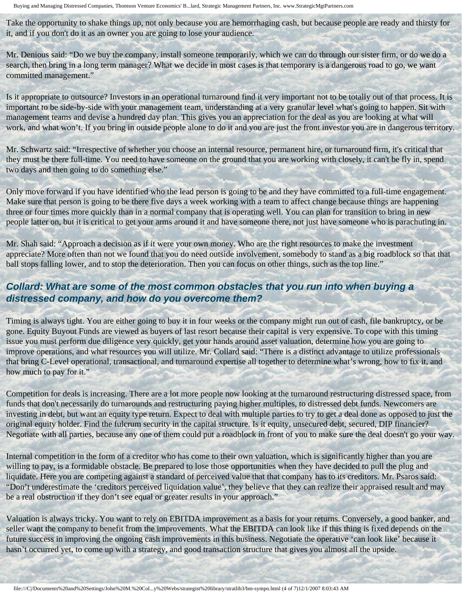Take the opportunity to shake things up, not only because you are hemorrhaging cash, but because people are ready and thirsty for it, and if you don't do it as an owner you are going to lose your audience.

Mr. Denious said: "Do we buy the company, install someone temporarily, which we can do through our sister firm, or do we do a search, then bring in a long term manager? What we decide in most cases is that temporary is a dangerous road to go, we want committed management."

Is it appropriate to outsource? Investors in an operational turnaround find it very important not to be totally out of that process. It is important to be side-by-side with your management team, understanding at a very granular level what's going to happen. Sit with management teams and devise a hundred day plan. This gives you an appreciation for the deal as you are looking at what will work, and what won't. If you bring in outside people alone to do it and you are just the front investor you are in dangerous territory.

Mr. Schwartz said: "Irrespective of whether you choose an internal resource, permanent hire, or turnaround firm, it's critical that they must be there full-time. You need to have someone on the ground that you are working with closely, it can't be fly in, spend two days and then going to do something else."

Only move forward if you have identified who the lead person is going to be and they have committed to a full-time engagement. Make sure that person is going to be there five days a week working with a team to affect change because things are happening three or four times more quickly than in a normal company that is operating well. You can plan for transition to bring in new people latter on, but it is critical to get your arms around it and have someone there, not just have someone who is parachuting in.

Mr. Shah said: "Approach a decision as if it were your own money. Who are the right resources to make the investment appreciate? More often than not we found that you do need outside involvement, somebody to stand as a big roadblock so that that ball stops falling lower, and to stop the deterioration. Then you can focus on other things, such as the top line."

#### **Collard: What are some of the most common obstacles that you run into when buying a distressed company, and how do you overcome them?**

Timing is always tight. You are either going to buy it in four weeks or the company might run out of cash, file bankruptcy, or be gone. Equity Buyout Funds are viewed as buyers of last resort because their capital is very expensive. To cope with this timing issue you must perform due diligence very quickly, get your hands around asset valuation, determine how you are going to improve operations, and what resources you will utilize. Mr. Collard said: "There is a distinct advantage to utilize professionals that bring C-Level operational, transactional, and turnaround expertise all together to determine what's wrong, how to fix it, and how much to pay for it."

Competition for deals is increasing. There are a lot more people now looking at the turnaround restructuring distressed space, from funds that don't necessarily do turnarounds and restructuring paying higher multiples, to distressed debt funds. Newcomers are investing in debt, but want an equity type return. Expect to deal with multiple parties to try to get a deal done as opposed to just the original equity holder. Find the fulcrum security in the capital structure. Is it equity, unsecured debt, secured, DIP financier? Negotiate with all parties, because any one of them could put a roadblock in front of you to make sure the deal doesn't go your way.

Internal competition in the form of a creditor who has come to their own valuation, which is significantly higher than you are willing to pay, is a formidable obstacle. Be prepared to lose those opportunities when they have decided to pull the plug and liquidate. Here you are competing against a standard of perceived value that that company has to its creditors. Mr. Psaros said: "Don't underestimate the 'creditors perceived liquidation value', they believe that they can realize their appraised result and may be a real obstruction if they don't see equal or greater results in your approach."

Valuation is always tricky. You want to rely on EBITDA improvement as a basis for your returns. Conversely, a good banker, and seller want the company to benefit from the improvements. What the EBITDA can look like if this thing is fixed depends on the future success in improving the ongoing cash improvements in this business. Negotiate the operative 'can look like' because it hasn't occurred yet, to come up with a strategy, and good transaction structure that gives you almost all the upside.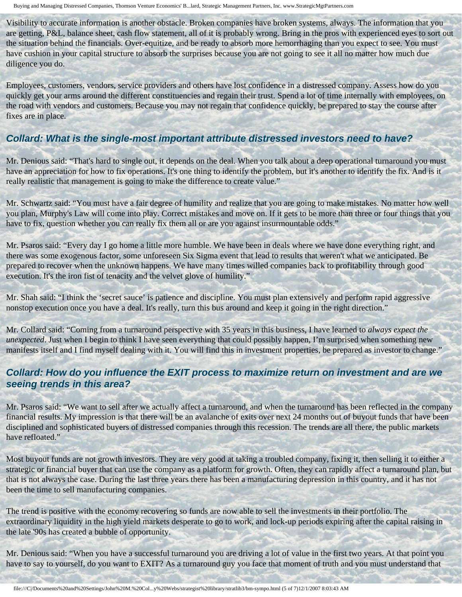Visibility to accurate information is another obstacle. Broken companies have broken systems, always. The information that you are getting, P&L, balance sheet, cash flow statement, all of it is probably wrong. Bring in the pros with experienced eyes to sort out the situation behind the financials. Over-equitize, and be ready to absorb more hemorrhaging than you expect to see. You must have cushion in your capital structure to absorb the surprises because you are not going to see it all no matter how much due diligence you do.

Employees, customers, vendors, service providers and others have lost confidence in a distressed company. Assess how do you quickly get your arms around the different constituencies and regain their trust. Spend a lot of time internally with employees, on the road with vendors and customers. Because you may not regain that confidence quickly, be prepared to stay the course after fixes are in place.

#### **Collard: What is the single-most important attribute distressed investors need to have?**

Mr. Denious said: "That's hard to single out, it depends on the deal. When you talk about a deep operational turnaround you must have an appreciation for how to fix operations. It's one thing to identify the problem, but it's another to identify the fix. And is it really realistic that management is going to make the difference to create value."

Mr. Schwartz said: "You must have a fair degree of humility and realize that you are going to make mistakes. No matter how well you plan, Murphy's Law will come into play. Correct mistakes and move on. If it gets to be more than three or four things that you have to fix, question whether you can really fix them all or are you against insurmountable odds."

Mr. Psaros said: "Every day I go home a little more humble. We have been in deals where we have done everything right, and there was some exogenous factor, some unforeseen Six Sigma event that lead to results that weren't what we anticipated. Be prepared to recover when the unknown happens. We have many times willed companies back to profitability through good execution. It's the iron fist of tenacity and the velvet glove of humility."

Mr. Shah said: "I think the 'secret sauce' is patience and discipline. You must plan extensively and perform rapid aggressive nonstop execution once you have a deal. It's really, turn this bus around and keep it going in the right direction."

Mr. Collard said: "Coming from a turnaround perspective with 35 years in this business, I have learned to *always expect the unexpected*. Just when I begin to think I have seen everything that could possibly happen, I'm surprised when something new manifests itself and I find myself dealing with it. You will find this in investment properties, be prepared as investor to change."

#### **Collard: How do you influence the EXIT process to maximize return on investment and are we seeing trends in this area?**

Mr. Psaros said: "We want to sell after we actually affect a turnaround, and when the turnaround has been reflected in the company financial results. My impression is that there will be an avalanche of exits over next 24 months out of buyout funds that have been disciplined and sophisticated buyers of distressed companies through this recession. The trends are all there, the public markets have refloated."

Most buyout funds are not growth investors. They are very good at taking a troubled company, fixing it, then selling it to either a strategic or financial buyer that can use the company as a platform for growth. Often, they can rapidly affect a turnaround plan, but that is not always the case. During the last three years there has been a manufacturing depression in this country, and it has not been the time to sell manufacturing companies.

The trend is positive with the economy recovering so funds are now able to sell the investments in their portfolio. The extraordinary liquidity in the high yield markets desperate to go to work, and lock-up periods expiring after the capital raising in the late '90s has created a bubble of opportunity.

Mr. Denious said: "When you have a successful turnaround you are driving a lot of value in the first two years. At that point you have to say to yourself, do you want to EXIT? As a turnaround guy you face that moment of truth and you must understand that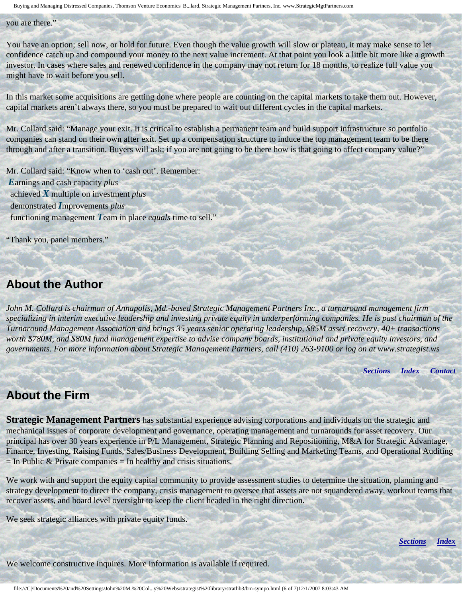Buying and Managing Distressed Companies, Thomson Venture Economics' B...lard, Strategic Management Partners, Inc. www.StrategicMgtPartners.com

#### you are there."

You have an option; sell now, or hold for future. Even though the value growth will slow or plateau, it may make sense to let confidence catch up and compound your money to the next value increment. At that point you look a little bit more like a growth investor. In cases where sales and renewed confidence in the company may not return for 18 months, to realize full value you might have to wait before you sell.

In this market some acquisitions are getting done where people are counting on the capital markets to take them out. However, capital markets aren't always there, so you must be prepared to wait out different cycles in the capital markets.

Mr. Collard said: "Manage your exit. It is critical to establish a permanent team and build support infrastructure so portfolio companies can stand on their own after exit. Set up a compensation structure to induce the top management team to be there through and after a transition. Buyers will ask; if you are not going to be there how is that going to affect company value?"

Mr. Collard said: "Know when to 'cash out'. Remember: *E*arnings and cash capacity *plus* achieved *X* multiple on investment *plus* demonstrated *I*mprovements *plus* functioning management *T*eam in place *equals* time to sell."

"Thank you, panel members."

### <span id="page-5-0"></span>**About the Author**

*John M. Collard is chairman of Annapolis, Md.-based Strategic Management Partners Inc., a turnaround management firm specializing in interim executive leadership and investing private equity in underperforming companies. He is past chairman of the Turnaround Management Association and brings 35 years senior operating leadership, \$85M asset recovery, 40+ transactions worth \$780M, and \$80M fund management expertise to advise company boards, institutional and private equity investors, and governments. For more information about Strategic Management Partners, call (410) 263-9100 or log on at www.strategist.ws*

*[Sections](#page-0-2) [Index](#page-0-3) [Contact](#page-6-0)*

## <span id="page-5-1"></span>**About the Firm**

**Strategic Management Partners** has substantial experience advising corporations and individuals on the strategic and mechanical issues of corporate development and governance, operating management and turnarounds for asset recovery. Our principal has over 30 years experience in P/L Management, Strategic Planning and Repositioning, M&A for Strategic Advantage, Finance, Investing, Raising Funds, Sales/Business Development, Building Selling and Marketing Teams, and Operational Auditing  $=$  In Public & Private companies  $=$  In healthy and crisis situations.

We work with and support the equity capital community to provide assessment studies to determine the situation, planning and strategy development to direct the company, crisis management to oversee that assets are not squandered away, workout teams that recover assets, and board level oversight to keep the client headed in the right direction.

We seek strategic alliances with private equity funds.

*[Sections](#page-0-2) [Index](#page-0-3)*

We welcome constructive inquires. More information is available if required.